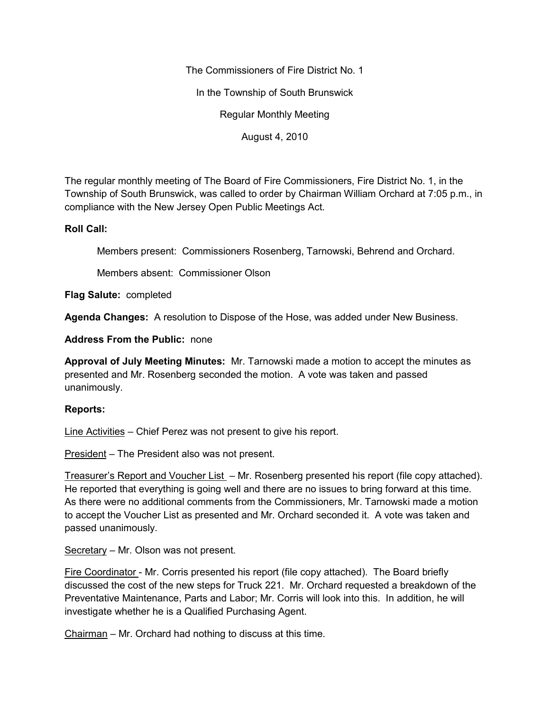The Commissioners of Fire District No. 1

In the Township of South Brunswick

Regular Monthly Meeting

August 4, 2010

The regular monthly meeting of The Board of Fire Commissioners, Fire District No. 1, in the Township of South Brunswick, was called to order by Chairman William Orchard at 7:05 p.m., in compliance with the New Jersey Open Public Meetings Act.

## **Roll Call:**

Members present: Commissioners Rosenberg, Tarnowski, Behrend and Orchard.

Members absent: Commissioner Olson

**Flag Salute:** completed

**Agenda Changes:** A resolution to Dispose of the Hose, was added under New Business.

**Address From the Public:** none

**Approval of July Meeting Minutes:** Mr. Tarnowski made a motion to accept the minutes as presented and Mr. Rosenberg seconded the motion. A vote was taken and passed unanimously.

## **Reports:**

Line Activities – Chief Perez was not present to give his report.

President – The President also was not present.

Treasurer's Report and Voucher List – Mr. Rosenberg presented his report (file copy attached). He reported that everything is going well and there are no issues to bring forward at this time. As there were no additional comments from the Commissioners, Mr. Tarnowski made a motion to accept the Voucher List as presented and Mr. Orchard seconded it. A vote was taken and passed unanimously.

Secretary – Mr. Olson was not present.

Fire Coordinator - Mr. Corris presented his report (file copy attached). The Board briefly discussed the cost of the new steps for Truck 221. Mr. Orchard requested a breakdown of the Preventative Maintenance, Parts and Labor; Mr. Corris will look into this. In addition, he will investigate whether he is a Qualified Purchasing Agent.

Chairman – Mr. Orchard had nothing to discuss at this time.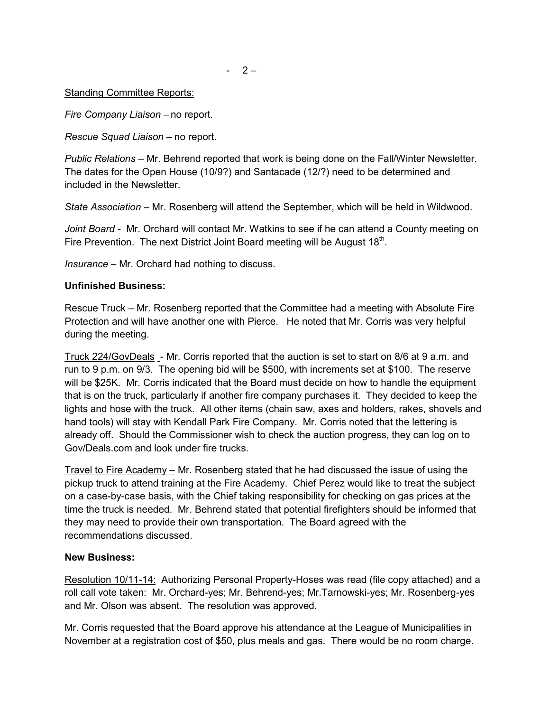*Fire Company Liaison –* no report.

*Rescue Squad Liaison –* no report.

*Public Relations –* Mr. Behrend reported that work is being done on the Fall/Winter Newsletter. The dates for the Open House (10/9?) and Santacade (12/?) need to be determined and included in the Newsletter.

*State Association –* Mr. Rosenberg will attend the September, which will be held in Wildwood.

*Joint Board -* Mr. Orchard will contact Mr. Watkins to see if he can attend a County meeting on Fire Prevention. The next District Joint Board meeting will be August 18<sup>th</sup>.

*Insurance –* Mr. Orchard had nothing to discuss.

## **Unfinished Business:**

Rescue Truck – Mr. Rosenberg reported that the Committee had a meeting with Absolute Fire Protection and will have another one with Pierce. He noted that Mr. Corris was very helpful during the meeting.

Truck 224/GovDeals - Mr. Corris reported that the auction is set to start on 8/6 at 9 a.m. and run to 9 p.m. on 9/3. The opening bid will be \$500, with increments set at \$100. The reserve will be \$25K. Mr. Corris indicated that the Board must decide on how to handle the equipment that is on the truck, particularly if another fire company purchases it. They decided to keep the lights and hose with the truck. All other items (chain saw, axes and holders, rakes, shovels and hand tools) will stay with Kendall Park Fire Company. Mr. Corris noted that the lettering is already off. Should the Commissioner wish to check the auction progress, they can log on to Gov/Deals.com and look under fire trucks.

Travel to Fire Academy – Mr. Rosenberg stated that he had discussed the issue of using the pickup truck to attend training at the Fire Academy. Chief Perez would like to treat the subject on a case-by-case basis, with the Chief taking responsibility for checking on gas prices at the time the truck is needed. Mr. Behrend stated that potential firefighters should be informed that they may need to provide their own transportation. The Board agreed with the recommendations discussed.

## **New Business:**

Resolution 10/11-14: Authorizing Personal Property-Hoses was read (file copy attached) and a roll call vote taken: Mr. Orchard-yes; Mr. Behrend-yes; Mr.Tarnowski-yes; Mr. Rosenberg-yes and Mr. Olson was absent. The resolution was approved.

Mr. Corris requested that the Board approve his attendance at the League of Municipalities in November at a registration cost of \$50, plus meals and gas. There would be no room charge.